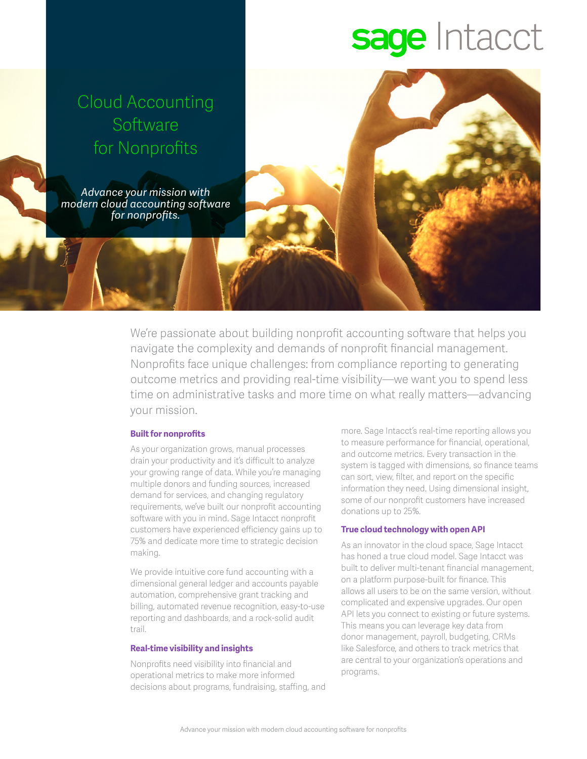# sage Intacct

### Cloud Accounting **Software** for Nonprofits

*Advance your mission with modern cloud accounting software for nonprofits.*

> We're passionate about building nonprofit accounting software that helps you navigate the complexity and demands of nonprofit financial management. Nonprofits face unique challenges: from compliance reporting to generating outcome metrics and providing real-time visibility—we want you to spend less time on administrative tasks and more time on what really matters—advancing your mission.

#### **Built for nonprofits**

As your organization grows, manual processes drain your productivity and it's difficult to analyze your growing range of data. While you're managing multiple donors and funding sources, increased demand for services, and changing regulatory requirements, we've built our nonprofit accounting software with you in mind. Sage Intacct nonprofit customers have experienced efficiency gains up to 75% and dedicate more time to strategic decision making.

We provide intuitive core fund accounting with a dimensional general ledger and accounts payable automation, comprehensive grant tracking and billing, automated revenue recognition, easy-to-use reporting and dashboards, and a rock-solid audit trail.

#### **Real-time visibility and insights**

Nonprofits need visibility into financial and operational metrics to make more informed decisions about programs, fundraising, staffing, and more. Sage Intacct's real-time reporting allows you to measure performance for financial, operational, and outcome metrics. Every transaction in the system is tagged with dimensions, so finance teams can sort, view, filter, and report on the specific information they need. Using dimensional insight, some of our nonprofit customers have increased donations up to 25%.

#### **True cloud technology with open API**

As an innovator in the cloud space, Sage Intacct has honed a true cloud model. Sage Intacct was built to deliver multi-tenant financial management, on a platform purpose-built for finance. This allows all users to be on the same version, without complicated and expensive upgrades. Our open API lets you connect to existing or future systems. This means you can leverage key data from donor management, payroll, budgeting, CRMs like Salesforce, and others to track metrics that are central to your organization's operations and programs.